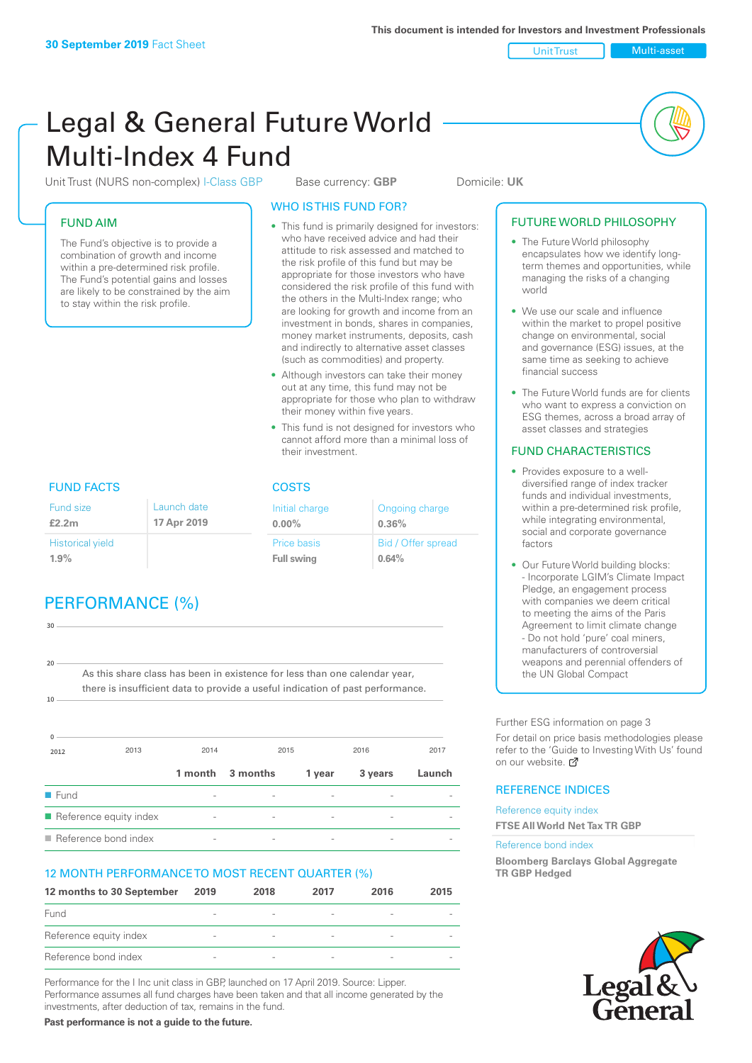Unit Trust Multi-asset

# Legal & General Future World Multi-Index 4 Fund

Unit Trust (NURS non-complex) I-Class GBP Base currency: **GBP** Domicile: UK

#### FUND AIM

The Fund's objective is to provide a combination of growth and income within a pre-determined risk profile. The Fund's potential gains and losses are likely to be constrained by the aim to stay within the risk profile.

#### WHO IS THIS FUND FOR?

- This fund is primarily designed for investors: who have received advice and had their attitude to risk assessed and matched to the risk profile of this fund but may be appropriate for those investors who have considered the risk profile of this fund with the others in the Multi-Index range; who are looking for growth and income from an investment in bonds, shares in companies, money market instruments, deposits, cash and indirectly to alternative asset classes (such as commodities) and property.
- Although investors can take their money out at any time, this fund may not be appropriate for those who plan to withdraw their money within five years.
- This fund is not designed for investors who cannot afford more than a minimal loss of their investment.

Ongoing charge

Bid / Offer spread

**0.36%**

**0.64%**

Initial charge **0.00%**

Price basis **Full swing**

# FUND FACTS COSTS

| Fund size<br>£2.2m      | Launch date<br>17 Apr 2019 |
|-------------------------|----------------------------|
| <b>Historical yield</b> |                            |
| $1.9\%$                 |                            |

# PERFORMANCE (%)

| 30                  |                                                                                |      |                  |        |         |        |
|---------------------|--------------------------------------------------------------------------------|------|------------------|--------|---------|--------|
|                     |                                                                                |      |                  |        |         |        |
| 20                  |                                                                                |      |                  |        |         |        |
|                     | As this share class has been in existence for less than one calendar year,     |      |                  |        |         |        |
|                     | there is insufficient data to provide a useful indication of past performance. |      |                  |        |         |        |
| 10                  |                                                                                |      |                  |        |         |        |
|                     |                                                                                |      |                  |        |         |        |
|                     |                                                                                |      |                  |        |         |        |
| 2012                | 2013                                                                           | 2014 | 2015             |        | 2016    | 2017   |
|                     |                                                                                |      | 1 month 3 months | 1 year | 3 years | Launch |
| $\blacksquare$ Fund |                                                                                |      |                  |        |         |        |
|                     | Reference equity index                                                         |      |                  |        |         |        |

 $\blacksquare$  Reference bond index

#### 12 MONTH PERFORMANCE TO MOST RECENT QUARTER (%)

| 12 months to 30 September | 2019                     | 2018                     | 2017                     | 2016                     | 2015 |
|---------------------------|--------------------------|--------------------------|--------------------------|--------------------------|------|
| Fund                      |                          |                          | $\overline{\phantom{a}}$ |                          |      |
| Reference equity index    | $\overline{\phantom{a}}$ | $\overline{\phantom{a}}$ | $\qquad \qquad$          | $\overline{\phantom{a}}$ |      |
| Reference bond index      | $\overline{\phantom{a}}$ |                          | -                        |                          |      |

Performance for the I Inc unit class in GBP, launched on 17 April 2019. Source: Lipper. Performance assumes all fund charges have been taken and that all income generated by the investments, after deduction of tax, remains in the fund.

**Past performance is not a guide to the future.**

#### • The Future World philosophy encapsulates how we identify longterm themes and opportunities, while managing the risks of a changing world

• We use our scale and influence within the market to propel positive change on environmental, social and governance (ESG) issues, at the same time as seeking to achieve financial success

FUTURE WORLD PHILOSOPHY

• The Future World funds are for clients who want to express a conviction on ESG themes, across a broad array of asset classes and strategies

#### FUND CHARACTERISTICS

- Provides exposure to a welldiversified range of index tracker funds and individual investments, within a pre-determined risk profile while integrating environmental, social and corporate governance factors
- Our Future World building blocks: - Incorporate LGIM's Climate Impact Pledge, an engagement process with companies we deem critical to meeting the aims of the Paris Agreement to limit climate change - Do not hold 'pure' coal miners, manufacturers of controversial weapons and perennial offenders of the UN Global Compact

Further ESG information on page 3

For detail on price basis methodologies please refer to the 'Guide to Investing With Us' found on our website. a

#### REFERENCE INDICES

Reference equity index **FTSE All World Net Tax TR GBP**

#### Reference bond index

**Bloomberg Barclays Global Aggregate TR GBP Hedged**

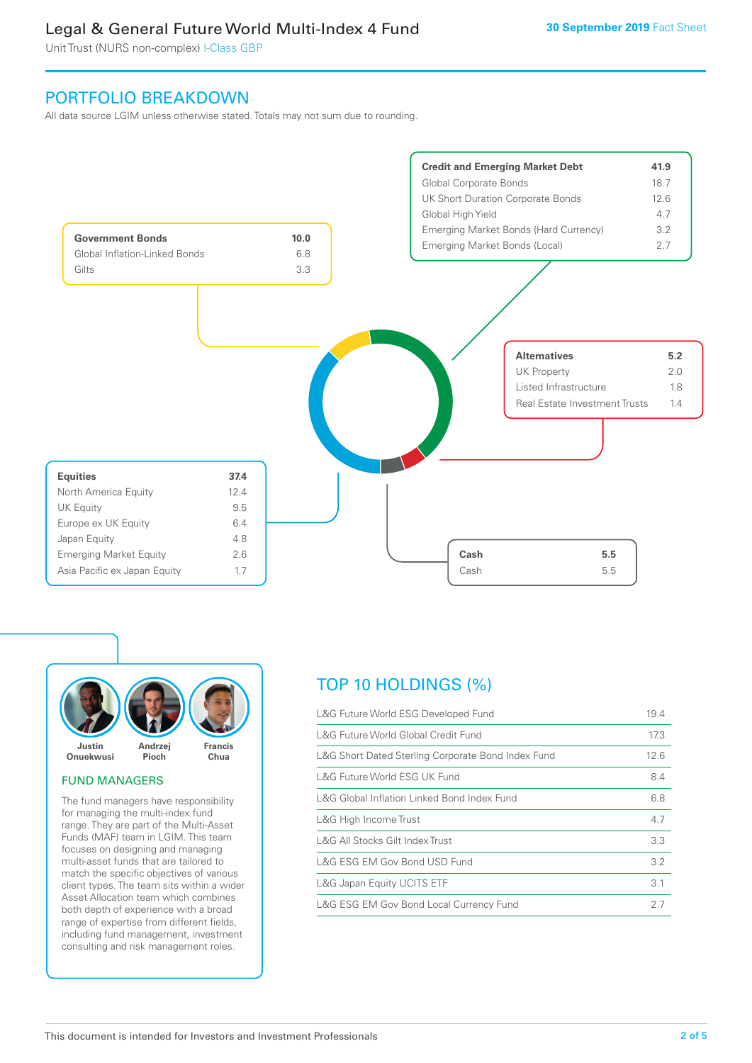Unit Trust (NURS non-complex) I-Class GBP

### PORTFOLIO BREAKDOWN

All data source LGIM unless otherwise stated. Totals may not sum due to rounding.





#### FUND MANAGERS

The fund managers have responsibility for managing the multi-index fund range. They are part of the Multi-Asset Funds (MAF) team in LGIM. This team focuses on designing and managing multi-asset funds that are tailored to match the specific objectives of various client types. The team sits within a wider Asset Allocation team which combines both depth of experience with a broad range of expertise from different fields, including fund management, investment consulting and risk management roles.

# TOP 10 HOLDINGS (%)

| L&G Future World ESG Developed Fund                | 19.4 |
|----------------------------------------------------|------|
| L&G Future World Global Credit Fund                | 17.3 |
| L&G Short Dated Sterling Corporate Bond Index Fund | 12.6 |
| L&G Future World ESG UK Fund                       | 8.4  |
| L&G Global Inflation Linked Bond Index Fund        | 6.8  |
| L&G High Income Trust                              | 4.7  |
| L&G All Stocks Gilt Index Trust                    | 3.3  |
| L&G ESG EM Gov Bond USD Fund                       | 3.2  |
| L&G Japan Equity UCITS ETF                         | 3.1  |
| L&G ESG EM Gov Bond Local Currency Fund            | 27   |
|                                                    |      |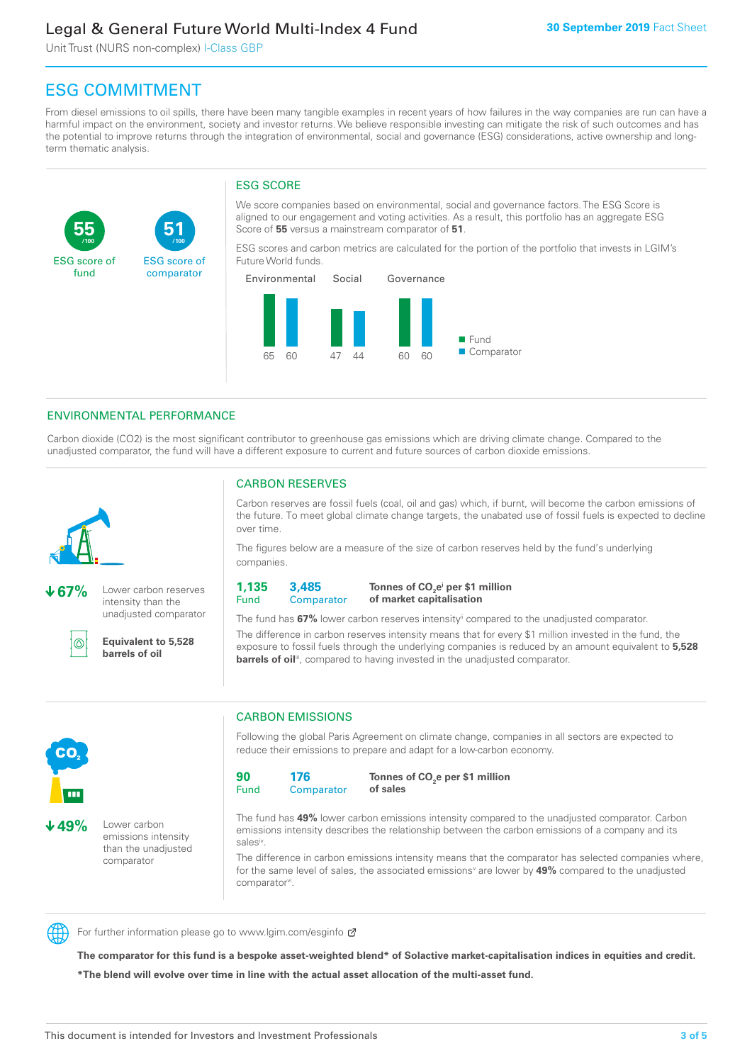Unit Trust (NURS non-complex) I-Class GBP

**51**

ESG score of comparator

# ESG COMMITMENT

**/100 /100**

From diesel emissions to oil spills, there have been many tangible examples in recent years of how failures in the way companies are run can have a harmful impact on the environment, society and investor returns. We believe responsible investing can mitigate the risk of such outcomes and has the potential to improve returns through the integration of environmental, social and governance (ESG) considerations, active ownership and longterm thematic analysis.

#### ESG SCORE

We score companies based on environmental, social and governance factors. The ESG Score is aligned to our engagement and voting activities. As a result, this portfolio has an aggregate ESG Score of **55** versus a mainstream comparator of **51**.

ESG scores and carbon metrics are calculated for the portion of the portfolio that invests in LGIM's Future World funds.



#### ENVIRONMENTAL PERFORMANCE

Carbon dioxide (CO2) is the most significant contributor to greenhouse gas emissions which are driving climate change. Compared to the unadjusted comparator, the fund will have a different exposure to current and future sources of carbon dioxide emissions.



**55**

ESG score of fund

**67%** Lower carbon reserves intensity than the unadjusted comparator

൹

**Equivalent to 5,528 barrels of oil**

#### CARBON RESERVES

Carbon reserves are fossil fuels (coal, oil and gas) which, if burnt, will become the carbon emissions of the future. To meet global climate change targets, the unabated use of fossil fuels is expected to decline over time.

The figures below are a measure of the size of carbon reserves held by the fund's underlying companies.

**1,135** Fund **3,485 Comparator** 

**Tonnes of CO2 ei per \$1 million of market capitalisation**

The fund has **67%** lower carbon reserves intensityii compared to the unadjusted comparator. The difference in carbon reserves intensity means that for every \$1 million invested in the fund, the exposure to fossil fuels through the underlying companies is reduced by an amount equivalent to **5,528 barrels of oil**<sup>iii</sup>, compared to having invested in the unadjusted comparator.



**49%** Lower carbon emissions intensity than the unadjusted comparator

#### CARBON EMISSIONS

Following the global Paris Agreement on climate change, companies in all sectors are expected to reduce their emissions to prepare and adapt for a low-carbon economy.

**90** Fund **176 Comparator** 

**Tonnes of CO2 e per \$1 million of sales**

The fund has **49%** lower carbon emissions intensity compared to the unadjusted comparator. Carbon emissions intensity describes the relationship between the carbon emissions of a company and its salesiv

The difference in carbon emissions intensity means that the comparator has selected companies where, for the same level of sales, the associated emissions<sup>v</sup> are lower by **49%** compared to the unadjusted comparator<sup>vi</sup>.



For further information please go to www.lgim.com/esginfo Ø

**The comparator for this fund is a bespoke asset-weighted blend\* of Solactive market-capitalisation indices in equities and credit. \*The blend will evolve over time in line with the actual asset allocation of the multi-asset fund.**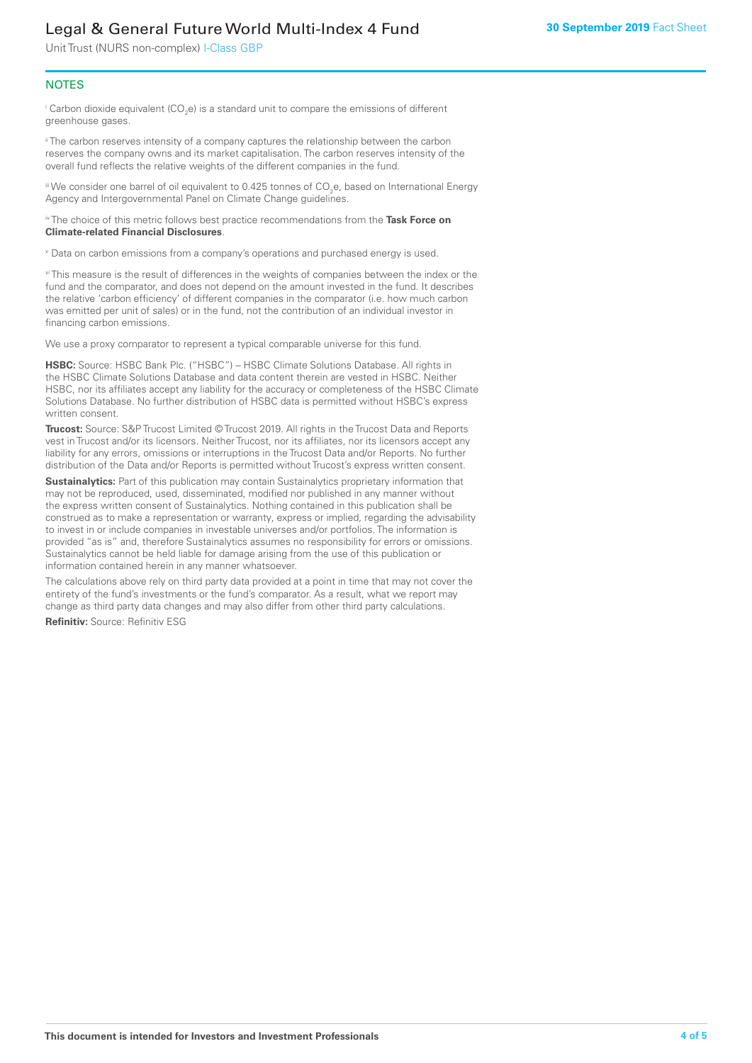Unit Trust (NURS non-complex) I-Class GBP

#### **NOTES**

 $^\mathrm{i}$  Carbon dioxide equivalent (CO<sub>2</sub>e) is a standard unit to compare the emissions of different greenhouse gases.

<sup>ii</sup> The carbon reserves intensity of a company captures the relationship between the carbon reserves the company owns and its market capitalisation. The carbon reserves intensity of the overall fund reflects the relative weights of the different companies in the fund.

iii We consider one barrel of oil equivalent to 0.425 tonnes of CO<sub>2</sub>e, based on International Energy Agency and Intergovernmental Panel on Climate Change guidelines.

#### iv The choice of this metric follows best practice recommendations from the **Task Force on Climate-related Financial Disclosures**.

v Data on carbon emissions from a company's operations and purchased energy is used.

vi This measure is the result of differences in the weights of companies between the index or the fund and the comparator, and does not depend on the amount invested in the fund. It describes the relative 'carbon efficiency' of different companies in the comparator (i.e. how much carbon was emitted per unit of sales) or in the fund, not the contribution of an individual investor in financing carbon emissions.

We use a proxy comparator to represent a typical comparable universe for this fund.

**HSBC:** Source: HSBC Bank Plc. ("HSBC") – HSBC Climate Solutions Database. All rights in the HSBC Climate Solutions Database and data content therein are vested in HSBC. Neither HSBC, nor its affiliates accept any liability for the accuracy or completeness of the HSBC Climate Solutions Database. No further distribution of HSBC data is permitted without HSBC's express written consent.

**Trucost:** Source: S&P Trucost Limited © Trucost 2019. All rights in the Trucost Data and Reports vest in Trucost and/or its licensors. Neither Trucost, nor its affiliates, nor its licensors accept any liability for any errors, omissions or interruptions in the Trucost Data and/or Reports. No further distribution of the Data and/or Reports is permitted without Trucost's express written consent.

**Sustainalytics:** Part of this publication may contain Sustainalytics proprietary information that may not be reproduced, used, disseminated, modified nor published in any manner without the express written consent of Sustainalytics. Nothing contained in this publication shall be construed as to make a representation or warranty, express or implied, regarding the advisability to invest in or include companies in investable universes and/or portfolios. The information is provided "as is" and, therefore Sustainalytics assumes no responsibility for errors or omissions. Sustainalytics cannot be held liable for damage arising from the use of this publication or information contained herein in any manner whatsoever.

The calculations above rely on third party data provided at a point in time that may not cover the entirety of the fund's investments or the fund's comparator. As a result, what we report may change as third party data changes and may also differ from other third party calculations.

**Refinitiv:** Source: Refinitiv ESG